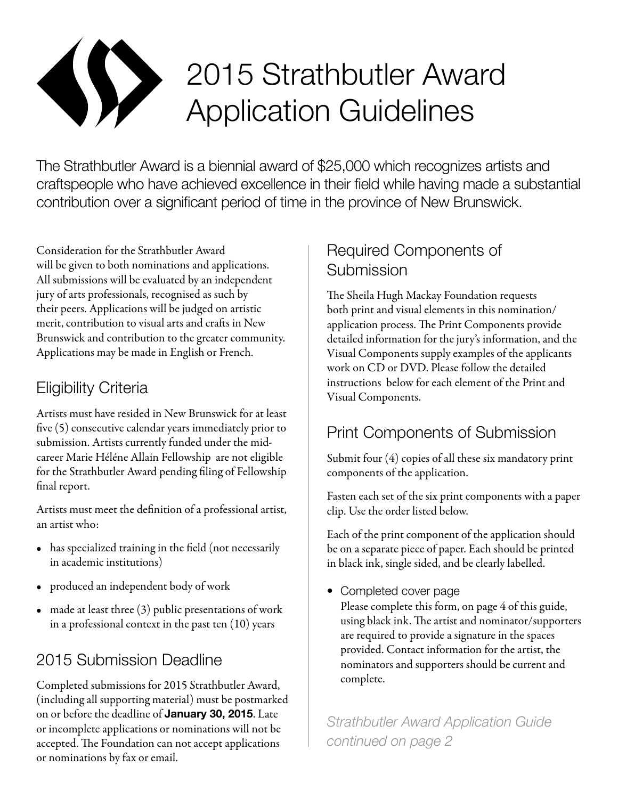

# 2015 Strathbutler Award Application Guidelines

The Strathbutler Award is a biennial award of \$25,000 which recognizes artists and craftspeople who have achieved excellence in their field while having made a substantial contribution over a significant period of time in the province of New Brunswick.

Consideration for the Strathbutler Award will be given to both nominations and applications. All submissions will be evaluated by an independent jury of arts professionals, recognised as such by their peers. Applications will be judged on artistic merit, contribution to visual arts and crafts in New Brunswick and contribution to the greater community. Applications may be made in English or French.

#### Eligibility Criteria

Artists must have resided in New Brunswick for at least five (5) consecutive calendar years immediately prior to submission. Artists currently funded under the midcareer Marie Héléne Allain Fellowship are not eligible for the Strathbutler Award pending filing of Fellowship final report.

Artists must meet the definition of a professional artist, an artist who:

- has specialized training in the field (not necessarily in academic institutions)
- • produced an independent body of work
- $\bullet$  made at least three (3) public presentations of work in a professional context in the past ten (10) years

# 2015 Submission Deadline

Completed submissions for 2015 Strathbutler Award, (including all supporting material) must be postmarked on or before the deadline of **January 30, 2015**. Late or incomplete applications or nominations will not be accepted. The Foundation can not accept applications or nominations by fax or email.

### Required Components of Submission

The Sheila Hugh Mackay Foundation requests both print and visual elements in this nomination/ application process. The Print Components provide detailed information for the jury's information, and the Visual Components supply examples of the applicants work on CD or DVD. Please follow the detailed instructions below for each element of the Print and Visual Components.

# Print Components of Submission

Submit four (4) copies of all these six mandatory print components of the application.

Fasten each set of the six print components with a paper clip. Use the order listed below.

Each of the print component of the application should be on a separate piece of paper. Each should be printed in black ink, single sided, and be clearly labelled.

• Completed cover page

Please complete this form, on page 4 of this guide, using black ink. The artist and nominator/supporters are required to provide a signature in the spaces provided. Contact information for the artist, the nominators and supporters should be current and complete.

*Strathbutler Award Application Guide continued on page 2*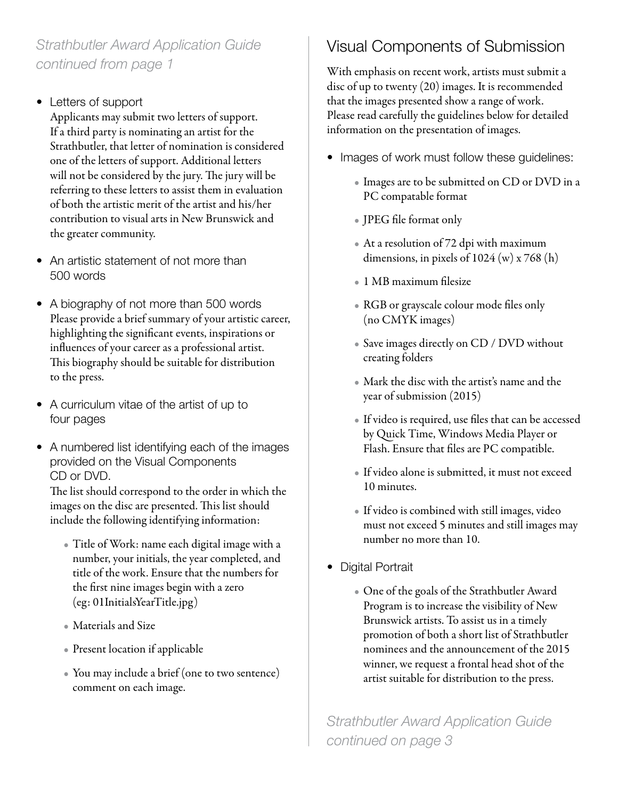#### *Strathbutler Award Application Guide continued from page 1*

• Letters of support

Applicants may submit two letters of support. If a third party is nominating an artist for the Strathbutler, that letter of nomination is considered one of the letters of support. Additional letters will not be considered by the jury. The jury will be referring to these letters to assist them in evaluation of both the artistic merit of the artist and his/her contribution to visual arts in New Brunswick and the greater community.

- An artistic statement of not more than 500 words
- A biography of not more than 500 words Please provide a brief summary of your artistic career, highlighting the significant events, inspirations or influences of your career as a professional artist. This biography should be suitable for distribution to the press.
- A curriculum vitae of the artist of up to four pages
- A numbered list identifying each of the images provided on the Visual Components CD or DVD.

The list should correspond to the order in which the images on the disc are presented. This list should include the following identifying information:

- Title of Work: name each digital image with a number, your initials, the year completed, and title of the work. Ensure that the numbers for the first nine images begin with a zero (eg: 01InitialsYearTitle.jpg)
- Materials and Size
- Present location if applicable
- You may include a brief (one to two sentence) comment on each image.

# Visual Components of Submission

With emphasis on recent work, artists must submit a disc of up to twenty (20) images. It is recommended that the images presented show a range of work. Please read carefully the guidelines below for detailed information on the presentation of images.

- Images of work must follow these guidelines:
	- Images are to be submitted on CD or DVD in a PC compatable format
	- JPEG file format only
	- At a resolution of 72 dpi with maximum dimensions, in pixels of 1024 (w) x 768 (h)
	- • 1 MB maximum filesize
	- RGB or grayscale colour mode files only (no CMYK images)
	- Save images directly on CD / DVD without creating folders
	- Mark the disc with the artist's name and the year of submission (2015)
	- If video is required, use files that can be accessed by Quick Time, Windows Media Player or Flash. Ensure that files are PC compatible.
	- If video alone is submitted, it must not exceed 10 minutes.
	- If video is combined with still images, video must not exceed 5 minutes and still images may number no more than 10.
- Digital Portrait
	- One of the goals of the Strathbutler Award Program is to increase the visibility of New Brunswick artists. To assist us in a timely promotion of both a short list of Strathbutler nominees and the announcement of the 2015 winner, we request a frontal head shot of the artist suitable for distribution to the press.

*Strathbutler Award Application Guide continued on page 3*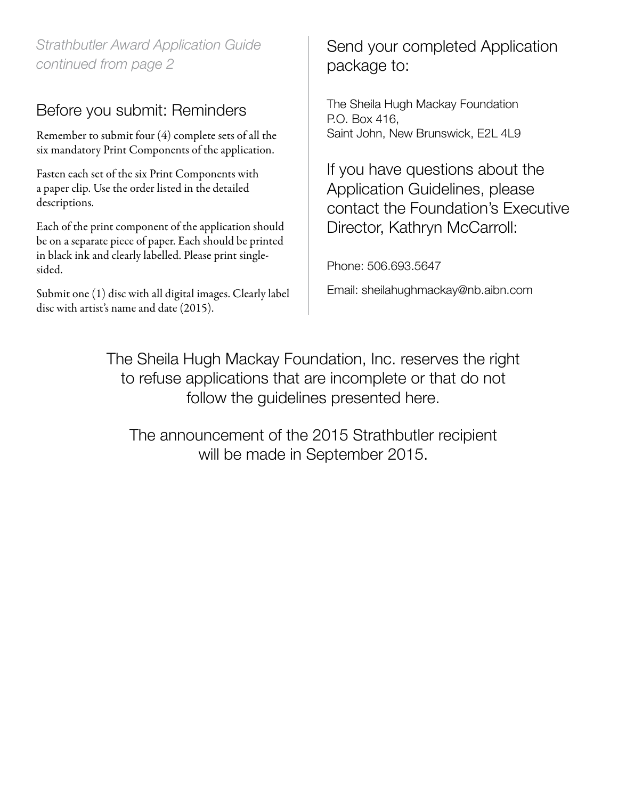*Strathbutler Award Application Guide continued from page 2*

#### Before you submit: Reminders

Remember to submit four (4) complete sets of all the six mandatory Print Components of the application.

Fasten each set of the six Print Components with a paper clip. Use the order listed in the detailed descriptions.

Each of the print component of the application should be on a separate piece of paper. Each should be printed in black ink and clearly labelled. Please print singlesided.

Submit one (1) disc with all digital images. Clearly label disc with artist's name and date (2015).

Send your completed Application package to:

The Sheila Hugh Mackay Foundation P.O. Box 416, Saint John, New Brunswick, E2L 4L9

If you have questions about the Application Guidelines, please contact the Foundation's Executive Director, Kathryn McCarroll:

Phone: 506.693.5647

Email: sheilahughmackay@nb.aibn.com

The Sheila Hugh Mackay Foundation, Inc. reserves the right to refuse applications that are incomplete or that do not follow the guidelines presented here.

The announcement of the 2015 Strathbutler recipient will be made in September 2015.